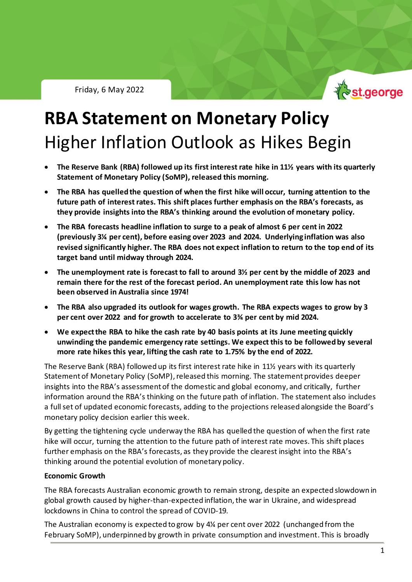

# **RBA Statement on Monetary Policy** Higher Inflation Outlook as Hikes Begin

- **The Reserve Bank (RBA) followed up its first interest rate hike in 11½ years with its quarterly Statement of Monetary Policy (SoMP), released this morning.**
- **The RBA has quelled the question of when the first hike will occur, turning attention to the future path of interest rates. This shift places further emphasis on the RBA's forecasts, as they provide insights into the RBA's thinking around the evolution of monetary policy.**
- **The RBA forecasts headline inflation to surge to a peak of almost 6 per cent in 2022 (previously 3¼ per cent), before easing over 2023 and 2024. Underlying inflation was also revised significantly higher. The RBA does not expect inflation to return to the top end of its target band until midway through 2024.**
- **The unemployment rate is forecast to fall to around 3½ per cent by the middle of 2023 and remain there for the rest of the forecast period. An unemployment rate this low has not been observed in Australia since 1974!**
- **The RBA also upgraded its outlook for wages growth. The RBA expects wages to grow by 3 per cent over 2022 and for growth to accelerate to 3¾ per cent by mid 2024.**
- **We expect the RBA to hike the cash rate by 40 basis points at its June meeting quickly unwinding the pandemic emergency rate settings. We expect this to be followed by several more rate hikes this year, lifting the cash rate to 1.75% by the end of 2022.**

The Reserve Bank (RBA) followed up its first interest rate hike in 11½ years with its quarterly Statement of Monetary Policy (SoMP), released this morning. The statement provides deeper insights into the RBA's assessment of the domestic and global economy, and critically, further information around the RBA's thinking on the future path of inflation. The statement also includes a fullset of updated economic forecasts, adding to the projections released alongside the Board's monetary policy decision earlier this week.

By getting the tightening cycle underway the RBA has quelled the question of when the first rate hike will occur, turning the attention to the future path of interest rate moves. This shift places further emphasis on the RBA's forecasts, as they provide the clearest insight into the RBA's thinking around the potential evolution of monetary policy.

## **Economic Growth**

The RBA forecasts Australian economic growth to remain strong, despite an expected slowdown in global growth caused by higher-than-expected inflation, the war in Ukraine, and widespread lockdowns in China to control the spread of COVID-19.

The Australian economy is expected to grow by 4¼ per cent over 2022 (unchanged from the February SoMP), underpinned by growth in private consumption and investment. This is broadly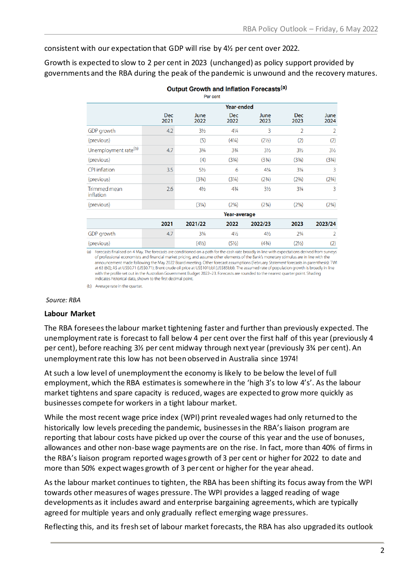consistent with our expectation that GDP will rise by 4½ per cent over 2022.

Growth is expected to slow to 2 per cent in 2023 (unchanged) as policy support provided by governments and the RBA during the peak of the pandemic is unwound and the recovery matures.

| Per cent                         |                    |                                  |                                  |                                  |                                  |                                  |
|----------------------------------|--------------------|----------------------------------|----------------------------------|----------------------------------|----------------------------------|----------------------------------|
|                                  | Year-ended         |                                  |                                  |                                  |                                  |                                  |
|                                  | <b>Dec</b><br>2021 | June<br>2022                     | <b>Dec</b><br>2022               | June<br>2023                     | <b>Dec</b><br>2023               | June<br>2024                     |
| GDP growth                       | 4.2                | $3\frac{1}{2}$                   | $4\frac{1}{4}$                   | 3                                | $\overline{2}$                   | $\overline{2}$                   |
| (previous)                       |                    | (5)                              | $(4\frac{1}{4})$                 | (2 <sup>1</sup> / <sub>2</sub> ) | (2)                              | (2)                              |
| Unemployment rate <sup>(b)</sup> | 4.7                | $3\frac{3}{4}$                   | $3\frac{3}{4}$                   | $3\frac{1}{2}$                   | $3\frac{1}{2}$                   | $3\frac{1}{2}$                   |
| (previous)                       |                    | (4)                              | (33/4)                           | (33/4)                           | (3 <sup>3</sup> / <sub>4</sub> ) | (3 <sup>3</sup> / <sub>4</sub> ) |
| <b>CPI</b> inflation             | 3.5                | $5\frac{1}{2}$                   | 6                                | $4\frac{1}{4}$                   | $3\frac{1}{4}$                   | 3                                |
| (previous)                       |                    | (3 <sup>3</sup> / <sub>4</sub> ) | (3 <sup>1</sup> / <sub>4</sub> ) | (2 <sup>3</sup> / <sub>4</sub> ) | (2 <sup>3</sup> / <sub>4</sub> ) | (2 <sup>3</sup> / <sub>4</sub> ) |
| Trimmed mean<br>inflation        | 2.6                | $4\frac{1}{2}$                   | $4^{3}/_{4}$                     | $3\frac{1}{2}$                   | $3\frac{1}{4}$                   | 3                                |
| (previous)                       |                    | (3 <sup>1</sup> / <sub>4</sub> ) | (2 <sup>3</sup> / <sub>4</sub> ) | (2 <sup>3</sup> / <sub>4</sub> ) | (2 <sup>3</sup> / <sub>4</sub> ) | (2 <sup>3</sup> / <sub>4</sub> ) |
|                                  |                    | Year-average                     |                                  |                                  |                                  |                                  |
|                                  | 2021               | 2021/22                          | 2022                             | 2022/23                          | 2023                             | 2023/24                          |
| GDP growth                       | 4.7                | $3\frac{3}{4}$                   | $4\frac{1}{2}$                   | $4\frac{1}{2}$                   | $2\frac{3}{4}$                   | $\overline{2}$                   |
| (previous)                       |                    | $(4\frac{1}{2})$                 | (5 <sup>1</sup> / <sub>2</sub> ) | (43/4)                           | (21/2)                           | (2)                              |

### Output Growth and Inflation Forecasts<sup>(a)</sup>

(a) Forecasts finalised on 4 May. The forecasts are conditioned on a path for the cash rate broadly in line with expectations derived from surveys of professional economists and financial market pricing, and assume other elements of the Bank's monetary stimulus are in line with the announcement made following the May 2022 Board meeting. Other forecast assumptions (February Statement forecasts in parenthesis): TWI at 63 (60); A\$ at US\$0.71 (US\$0.71); Brent crude oil price at US\$101bbl (US\$85bbl). The assumed rate of population growth is broadly in line with the profile set out in the Australian Government Budget 2022-23. Forecasts are rounded to the nearest quarter point. Shading indicates historical data, shown to the first decimal point.

(b) Average rate in the quarter.

### *Source: RBA*

### **Labour Market**

The RBA foresees the labour market tightening faster and further than previously expected. The unemployment rate is forecast to fall below 4 per cent over the first half of this year (previously 4 per cent), before reaching 3½ per cent midway through next year (previously 3¾ per cent). An unemployment rate this low has not been observed in Australia since 1974!

At such a low level of unemploymentthe economy is likely to be below the level of full employment, which the RBA estimates is somewhere in the 'high 3's to low 4's'. As the labour market tightens and spare capacity is reduced, wages are expected to grow more quickly as businesses compete for workers in a tight labour market.

While the most recent wage price index (WPI) print revealed wages had only returned to the historically low levels preceding the pandemic, businesses in the RBA's liaison program are reporting that labour costs have picked up over the course of this year and the use of bonuses, allowances and other non-base wage payments are on the rise. In fact, more than 40% of firms in the RBA's liaison program reported wages growth of 3 per cent or higher for 2022 to date and more than 50% expect wages growth of 3 per cent or higher for the year ahead.

As the labour market continues to tighten, the RBA has been shifting its focus away from the WPI towards other measures of wages pressure. The WPI provides a lagged reading of wage developments as it includes award and enterprise bargaining agreements, which are typically agreed for multiple years and only gradually reflect emerging wage pressures.

Reflecting this, and its fresh set of labour market forecasts, the RBA has also upgraded its outlook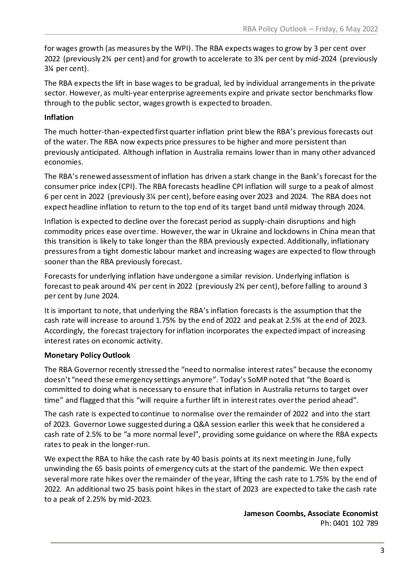for wages growth (as measures by the WPI). The RBA expects wages to grow by 3 per cent over 2022 (previously 2¾ per cent) and for growth to accelerate to 3¾ per cent by mid-2024 (previously 3¼ per cent).

The RBA expects the lift in base wages to be gradual, led by individual arrangements in the private sector. However, as multi-year enterprise agreements expire and private sector benchmarks flow through to the public sector, wages growth is expected to broaden.

# **Inflation**

The much hotter-than-expected first quarter inflation print blew the RBA's previous forecasts out of the water. The RBA now expects price pressures to be higher and more persistent than previously anticipated. Although inflation in Australia remains lower than in many other advanced economies.

The RBA's renewed assessment of inflation has driven a stark change in the Bank's forecast for the consumer price index (CPI). The RBA forecasts headline CPI inflation will surge to a peak of almost 6 per cent in 2022 (previously 3¼ per cent), before easing over 2023 and 2024. The RBA does not expect headline inflation to return to the top end of its target band until midway through 2024.

Inflation is expected to decline over the forecast period as supply-chain disruptions and high commodity prices ease over time. However, the war in Ukraine and lockdowns in China mean that this transition is likely to take longer than the RBA previously expected. Additionally, inflationary pressuresfrom a tight domestic labour market and increasing wages are expected to flow through sooner than the RBA previously forecast.

Forecasts for underlying inflation have undergone a similar revision. Underlying inflation is forecast to peak around 4¾ per cent in 2022 (previously 2¾ per cent), before falling to around 3 per cent by June 2024.

It is important to note, that underlying the RBA's inflation forecasts is the assumption that the cash rate will increase to around 1.75% by the end of 2022 and peak at 2.5% at the end of 2023. Accordingly, the forecast trajectory for inflation incorporates the expected impact of increasing interest rates on economic activity.

# **Monetary Policy Outlook**

The RBA Governor recently stressed the "need to normalise interest rates" because the economy doesn't "need these emergency settings anymore". Today's SoMP noted that "the Board is committed to doing what is necessary to ensure that inflation in Australia returns to target over time" and flagged that this "will require a further lift in interest rates over the period ahead".

The cash rate is expected to continue to normalise over the remainder of 2022 and into the start of 2023. Governor Lowe suggested during a Q&A session earlier this week that he considered a cash rate of 2.5% to be "a more normal level", providing some guidance on where the RBA expects rates to peak in the longer-run.

We expect the RBA to hike the cash rate by 40 basis points at its next meeting in June, fully unwinding the 65 basis points of emergency cuts at the start of the pandemic. We then expect several more rate hikes over the remainder of the year, lifting the cash rate to 1.75% by the end of 2022. An additional two 25 basis point hikes in the start of 2023 are expected to take the cash rate to a peak of 2.25% by mid-2023.

> **Jameson Coombs, Associate Economist** Ph: 0401 102 789